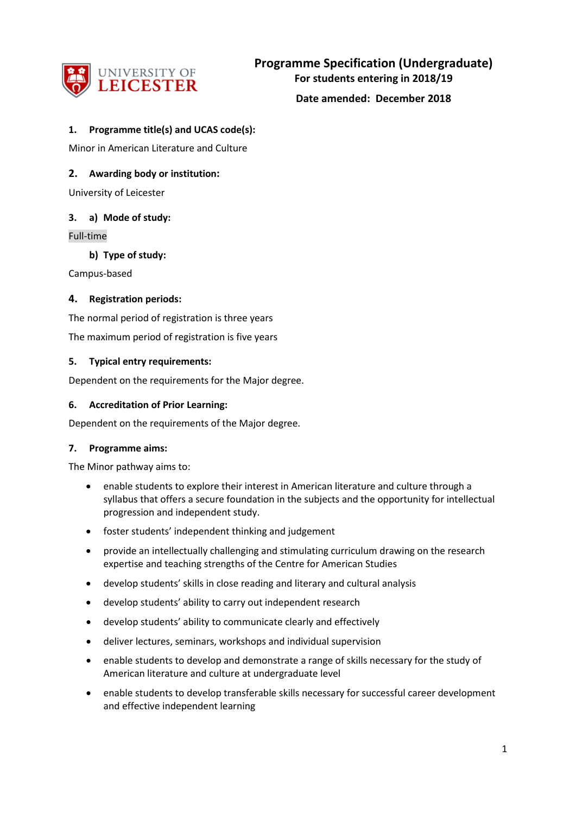

#### **1. Programme title(s) and UCAS code(s):**

Minor in American Literature and Culture

#### **2. Awarding body or institution:**

University of Leicester

#### **3. a) Mode of study:**

Full-time

**b) Type of study:**

Campus-based

#### **4. Registration periods:**

The normal period of registration is three years The maximum period of registration is five years

#### **5. Typical entry requirements:**

Dependent on the requirements for the Major degree.

#### **6. Accreditation of Prior Learning:**

Dependent on the requirements of the Major degree.

#### **7. Programme aims:**

The Minor pathway aims to:

- enable students to explore their interest in American literature and culture through a syllabus that offers a secure foundation in the subjects and the opportunity for intellectual progression and independent study.
- foster students' independent thinking and judgement
- provide an intellectually challenging and stimulating curriculum drawing on the research expertise and teaching strengths of the Centre for American Studies
- develop students' skills in close reading and literary and cultural analysis
- develop students' ability to carry out independent research
- develop students' ability to communicate clearly and effectively
- deliver lectures, seminars, workshops and individual supervision
- enable students to develop and demonstrate a range of skills necessary for the study of American literature and culture at undergraduate level
- enable students to develop transferable skills necessary for successful career development and effective independent learning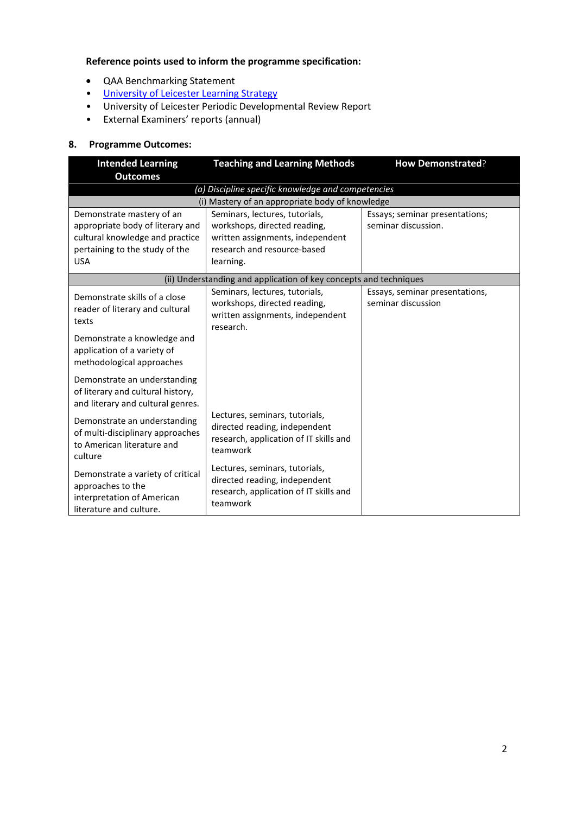## **Reference points used to inform the programme specification:**

- QAA Benchmarking Statement
- [University of Leicester Learning Strategy](http://www2.le.ac.uk/offices/sas2/quality/learnteach)
- University of Leicester Periodic Developmental Review Report
- External Examiners' reports (annual)

## **8. Programme Outcomes:**

| <b>Intended Learning</b><br><b>Outcomes</b>                                                                                                      | <b>Teaching and Learning Methods</b>                                                                                                           | <b>How Demonstrated?</b>                              |  |  |
|--------------------------------------------------------------------------------------------------------------------------------------------------|------------------------------------------------------------------------------------------------------------------------------------------------|-------------------------------------------------------|--|--|
| (a) Discipline specific knowledge and competencies                                                                                               |                                                                                                                                                |                                                       |  |  |
|                                                                                                                                                  | (i) Mastery of an appropriate body of knowledge                                                                                                |                                                       |  |  |
| Demonstrate mastery of an<br>appropriate body of literary and<br>cultural knowledge and practice<br>pertaining to the study of the<br><b>USA</b> | Seminars, lectures, tutorials,<br>workshops, directed reading,<br>written assignments, independent<br>research and resource-based<br>learning. | Essays; seminar presentations;<br>seminar discussion. |  |  |
| (ii) Understanding and application of key concepts and techniques                                                                                |                                                                                                                                                |                                                       |  |  |
| Demonstrate skills of a close<br>reader of literary and cultural<br>texts                                                                        | Seminars, lectures, tutorials,<br>workshops, directed reading,<br>written assignments, independent<br>research.                                | Essays, seminar presentations,<br>seminar discussion  |  |  |
| Demonstrate a knowledge and<br>application of a variety of<br>methodological approaches                                                          |                                                                                                                                                |                                                       |  |  |
| Demonstrate an understanding<br>of literary and cultural history,<br>and literary and cultural genres.                                           |                                                                                                                                                |                                                       |  |  |
| Demonstrate an understanding<br>of multi-disciplinary approaches<br>to American literature and<br>culture                                        | Lectures, seminars, tutorials,<br>directed reading, independent<br>research, application of IT skills and<br>teamwork                          |                                                       |  |  |
| Demonstrate a variety of critical<br>approaches to the<br>interpretation of American<br>literature and culture.                                  | Lectures, seminars, tutorials,<br>directed reading, independent<br>research, application of IT skills and<br>teamwork                          |                                                       |  |  |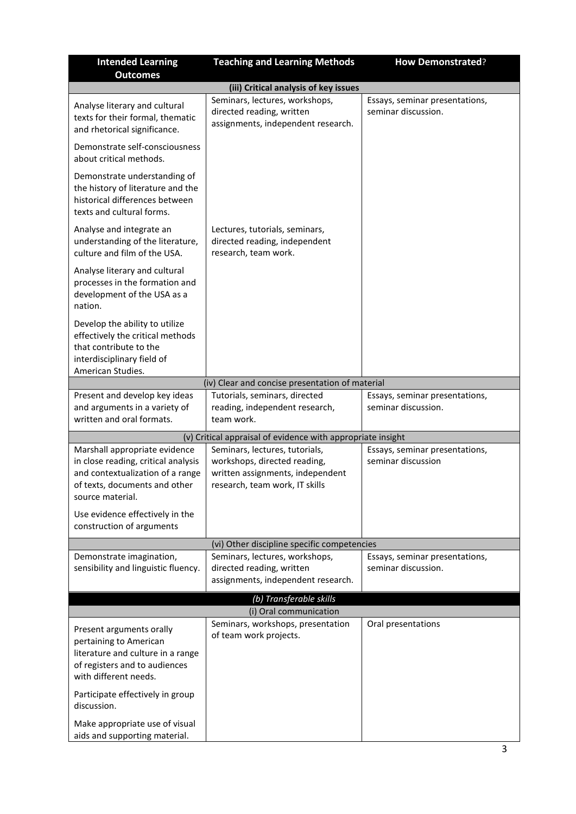| <b>Intended Learning</b><br><b>Outcomes</b>                                                                                                       | <b>Teaching and Learning Methods</b>                                                                                                 | <b>How Demonstrated?</b>                              |  |  |
|---------------------------------------------------------------------------------------------------------------------------------------------------|--------------------------------------------------------------------------------------------------------------------------------------|-------------------------------------------------------|--|--|
|                                                                                                                                                   | (iii) Critical analysis of key issues                                                                                                |                                                       |  |  |
| Analyse literary and cultural<br>texts for their formal, thematic<br>and rhetorical significance.                                                 | Seminars, lectures, workshops,<br>directed reading, written<br>assignments, independent research.                                    | Essays, seminar presentations,<br>seminar discussion. |  |  |
| Demonstrate self-consciousness<br>about critical methods.                                                                                         |                                                                                                                                      |                                                       |  |  |
| Demonstrate understanding of<br>the history of literature and the<br>historical differences between<br>texts and cultural forms.                  |                                                                                                                                      |                                                       |  |  |
| Analyse and integrate an<br>understanding of the literature,<br>culture and film of the USA.                                                      | Lectures, tutorials, seminars,<br>directed reading, independent<br>research, team work.                                              |                                                       |  |  |
| Analyse literary and cultural<br>processes in the formation and<br>development of the USA as a<br>nation.                                         |                                                                                                                                      |                                                       |  |  |
| Develop the ability to utilize<br>effectively the critical methods<br>that contribute to the<br>interdisciplinary field of                        |                                                                                                                                      |                                                       |  |  |
| American Studies.                                                                                                                                 |                                                                                                                                      |                                                       |  |  |
|                                                                                                                                                   | (iv) Clear and concise presentation of material                                                                                      |                                                       |  |  |
| Present and develop key ideas<br>and arguments in a variety of<br>written and oral formats.                                                       | Tutorials, seminars, directed<br>reading, independent research,<br>team work.                                                        | Essays, seminar presentations,<br>seminar discussion. |  |  |
|                                                                                                                                                   | (v) Critical appraisal of evidence with appropriate insight                                                                          |                                                       |  |  |
| Marshall appropriate evidence<br>in close reading, critical analysis<br>and contextualization of a range<br>of texts, documents and other         | Seminars, lectures, tutorials,<br>workshops, directed reading,<br>written assignments, independent<br>research, team work, IT skills | Essays, seminar presentations,<br>seminar discussion  |  |  |
| source material.<br>Use evidence effectively in the<br>construction of arguments                                                                  |                                                                                                                                      |                                                       |  |  |
|                                                                                                                                                   | (vi) Other discipline specific competencies                                                                                          |                                                       |  |  |
| Demonstrate imagination,<br>sensibility and linguistic fluency.                                                                                   | Seminars, lectures, workshops,<br>directed reading, written                                                                          | Essays, seminar presentations,<br>seminar discussion. |  |  |
|                                                                                                                                                   | assignments, independent research.                                                                                                   |                                                       |  |  |
| (b) Transferable skills                                                                                                                           |                                                                                                                                      |                                                       |  |  |
|                                                                                                                                                   | (i) Oral communication                                                                                                               |                                                       |  |  |
| Present arguments orally<br>pertaining to American<br>literature and culture in a range<br>of registers and to audiences<br>with different needs. | Seminars, workshops, presentation<br>of team work projects.                                                                          | Oral presentations                                    |  |  |
| Participate effectively in group<br>discussion.                                                                                                   |                                                                                                                                      |                                                       |  |  |
| Make appropriate use of visual<br>aids and supporting material.                                                                                   |                                                                                                                                      |                                                       |  |  |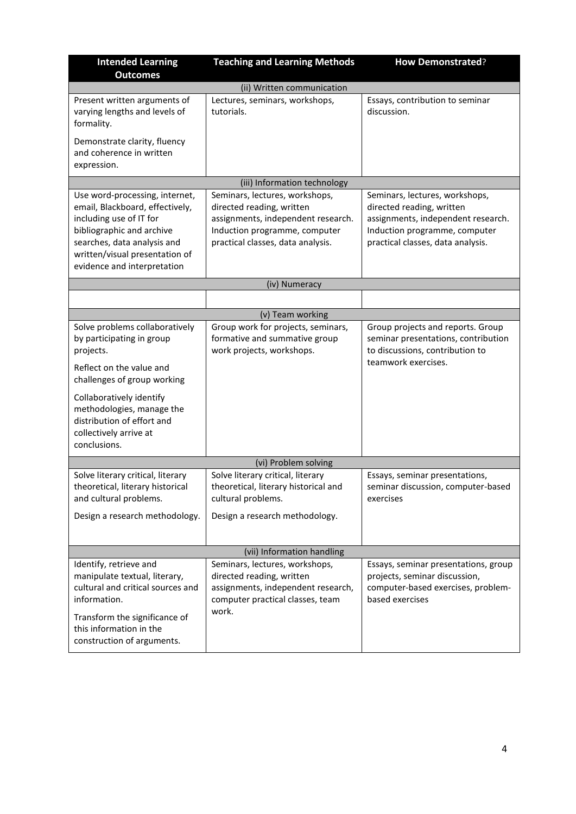| <b>Intended Learning</b><br><b>Outcomes</b>                                                                                                                                                                               | <b>Teaching and Learning Methods</b>                                                                                                                                    | <b>How Demonstrated?</b>                                                                                                                                                |  |  |
|---------------------------------------------------------------------------------------------------------------------------------------------------------------------------------------------------------------------------|-------------------------------------------------------------------------------------------------------------------------------------------------------------------------|-------------------------------------------------------------------------------------------------------------------------------------------------------------------------|--|--|
| (ii) Written communication                                                                                                                                                                                                |                                                                                                                                                                         |                                                                                                                                                                         |  |  |
| Present written arguments of<br>varying lengths and levels of<br>formality.                                                                                                                                               | Lectures, seminars, workshops,<br>tutorials.                                                                                                                            | Essays, contribution to seminar<br>discussion.                                                                                                                          |  |  |
| Demonstrate clarity, fluency<br>and coherence in written<br>expression.                                                                                                                                                   |                                                                                                                                                                         |                                                                                                                                                                         |  |  |
|                                                                                                                                                                                                                           | (iii) Information technology                                                                                                                                            |                                                                                                                                                                         |  |  |
| Use word-processing, internet,<br>email, Blackboard, effectively,<br>including use of IT for<br>bibliographic and archive<br>searches, data analysis and<br>written/visual presentation of<br>evidence and interpretation | Seminars, lectures, workshops,<br>directed reading, written<br>assignments, independent research.<br>Induction programme, computer<br>practical classes, data analysis. | Seminars, lectures, workshops,<br>directed reading, written<br>assignments, independent research.<br>Induction programme, computer<br>practical classes, data analysis. |  |  |
|                                                                                                                                                                                                                           | (iv) Numeracy                                                                                                                                                           |                                                                                                                                                                         |  |  |
|                                                                                                                                                                                                                           |                                                                                                                                                                         |                                                                                                                                                                         |  |  |
|                                                                                                                                                                                                                           | (v) Team working                                                                                                                                                        |                                                                                                                                                                         |  |  |
| Solve problems collaboratively<br>by participating in group<br>projects.<br>Reflect on the value and<br>challenges of group working                                                                                       | Group work for projects, seminars,<br>formative and summative group<br>work projects, workshops.                                                                        | Group projects and reports. Group<br>seminar presentations, contribution<br>to discussions, contribution to<br>teamwork exercises.                                      |  |  |
| Collaboratively identify<br>methodologies, manage the<br>distribution of effort and<br>collectively arrive at<br>conclusions.                                                                                             |                                                                                                                                                                         |                                                                                                                                                                         |  |  |
|                                                                                                                                                                                                                           | (vi) Problem solving                                                                                                                                                    |                                                                                                                                                                         |  |  |
| Solve literary critical, literary<br>theoretical, literary historical<br>and cultural problems.                                                                                                                           | Solve literary critical, literary<br>theoretical, literary historical and<br>cultural problems.                                                                         | Essays, seminar presentations,<br>seminar discussion, computer-based<br>exercises                                                                                       |  |  |
| Design a research methodology.                                                                                                                                                                                            | Design a research methodology.                                                                                                                                          |                                                                                                                                                                         |  |  |
| (vii) Information handling                                                                                                                                                                                                |                                                                                                                                                                         |                                                                                                                                                                         |  |  |
| Identify, retrieve and<br>manipulate textual, literary,<br>cultural and critical sources and<br>information.<br>Transform the significance of<br>this information in the<br>construction of arguments.                    | Seminars, lectures, workshops,<br>directed reading, written<br>assignments, independent research,<br>computer practical classes, team<br>work.                          | Essays, seminar presentations, group<br>projects, seminar discussion,<br>computer-based exercises, problem-<br>based exercises                                          |  |  |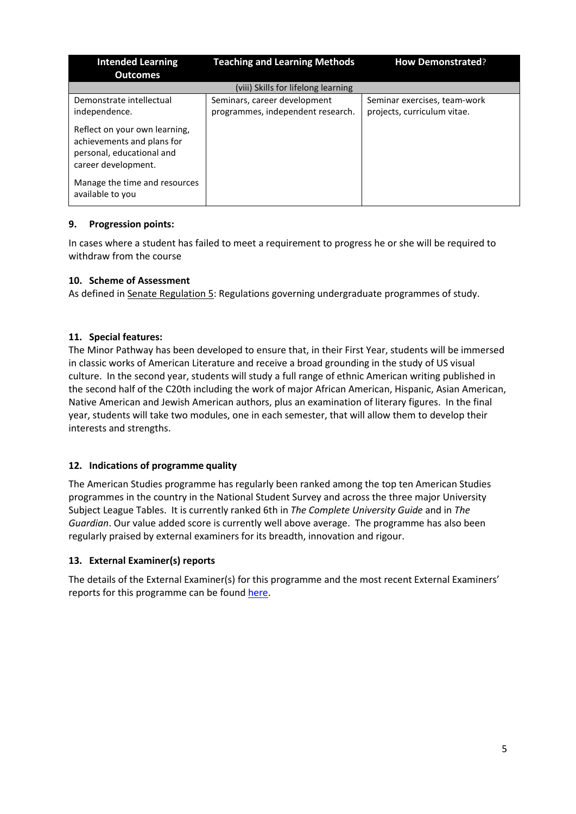| <b>Intended Learning</b><br><b>Outcomes</b>                                                                     | <b>Teaching and Learning Methods</b>                              | <b>How Demonstrated?</b>                                    |  |  |  |
|-----------------------------------------------------------------------------------------------------------------|-------------------------------------------------------------------|-------------------------------------------------------------|--|--|--|
| (viii) Skills for lifelong learning                                                                             |                                                                   |                                                             |  |  |  |
| Demonstrate intellectual<br>independence.                                                                       | Seminars, career development<br>programmes, independent research. | Seminar exercises, team-work<br>projects, curriculum vitae. |  |  |  |
| Reflect on your own learning,<br>achievements and plans for<br>personal, educational and<br>career development. |                                                                   |                                                             |  |  |  |
| Manage the time and resources<br>available to you                                                               |                                                                   |                                                             |  |  |  |

## **9. Progression points:**

In cases where a student has failed to meet a requirement to progress he or she will be required to withdraw from the course

# **10. Scheme of Assessment**

As defined in Senate Regulation 5: Regulations governing undergraduate programmes of study.

# **11. Special features:**

The Minor Pathway has been developed to ensure that, in their First Year, students will be immersed in classic works of American Literature and receive a broad grounding in the study of US visual culture. In the second year, students will study a full range of ethnic American writing published in the second half of the C20th including the work of major African American, Hispanic, Asian American, Native American and Jewish American authors, plus an examination of literary figures. In the final year, students will take two modules, one in each semester, that will allow them to develop their interests and strengths.

## **12. Indications of programme quality**

The American Studies programme has regularly been ranked among the top ten American Studies programmes in the country in the National Student Survey and across the three major University Subject League Tables. It is currently ranked 6th in *The Complete University Guide* and in *The Guardian*. Our value added score is currently well above average. The programme has also been regularly praised by external examiners for its breadth, innovation and rigour.

## **13. External Examiner(s) reports**

The details of the External Examiner(s) for this programme and the most recent External Examiners' reports for this programme can be foun[d here.](https://exampapers.le.ac.uk/xmlui/)